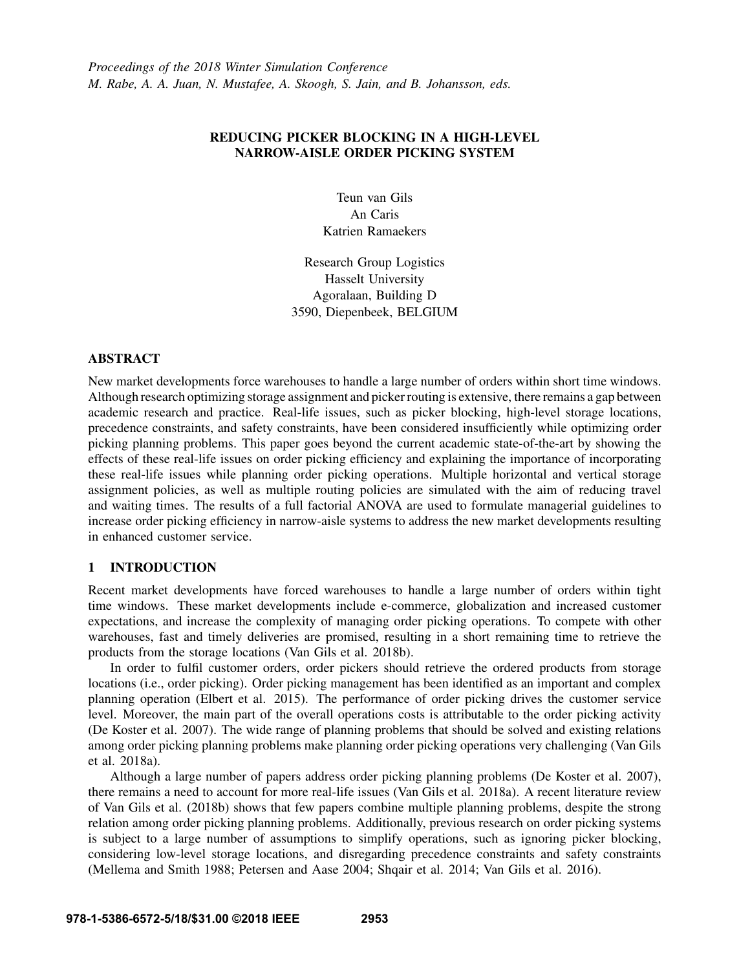# REDUCING PICKER BLOCKING IN A HIGH-LEVEL NARROW-AISLE ORDER PICKING SYSTEM

Teun van Gils An Caris Katrien Ramaekers

Research Group Logistics Hasselt University Agoralaan, Building D 3590, Diepenbeek, BELGIUM

### ABSTRACT

New market developments force warehouses to handle a large number of orders within short time windows. Although research optimizing storage assignment and picker routing is extensive, there remains a gap between academic research and practice. Real-life issues, such as picker blocking, high-level storage locations, precedence constraints, and safety constraints, have been considered insufficiently while optimizing order picking planning problems. This paper goes beyond the current academic state-of-the-art by showing the effects of these real-life issues on order picking efficiency and explaining the importance of incorporating these real-life issues while planning order picking operations. Multiple horizontal and vertical storage assignment policies, as well as multiple routing policies are simulated with the aim of reducing travel and waiting times. The results of a full factorial ANOVA are used to formulate managerial guidelines to increase order picking efficiency in narrow-aisle systems to address the new market developments resulting in enhanced customer service.

# 1 INTRODUCTION

Recent market developments have forced warehouses to handle a large number of orders within tight time windows. These market developments include e-commerce, globalization and increased customer expectations, and increase the complexity of managing order picking operations. To compete with other warehouses, fast and timely deliveries are promised, resulting in a short remaining time to retrieve the products from the storage locations (Van Gils et al. 2018b).

In order to fulfil customer orders, order pickers should retrieve the ordered products from storage locations (i.e., order picking). Order picking management has been identified as an important and complex planning operation (Elbert et al. 2015). The performance of order picking drives the customer service level. Moreover, the main part of the overall operations costs is attributable to the order picking activity (De Koster et al. 2007). The wide range of planning problems that should be solved and existing relations among order picking planning problems make planning order picking operations very challenging (Van Gils et al. 2018a).

Although a large number of papers address order picking planning problems (De Koster et al. 2007), there remains a need to account for more real-life issues (Van Gils et al. 2018a). A recent literature review of Van Gils et al. (2018b) shows that few papers combine multiple planning problems, despite the strong relation among order picking planning problems. Additionally, previous research on order picking systems is subject to a large number of assumptions to simplify operations, such as ignoring picker blocking, considering low-level storage locations, and disregarding precedence constraints and safety constraints (Mellema and Smith 1988; Petersen and Aase 2004; Shqair et al. 2014; Van Gils et al. 2016).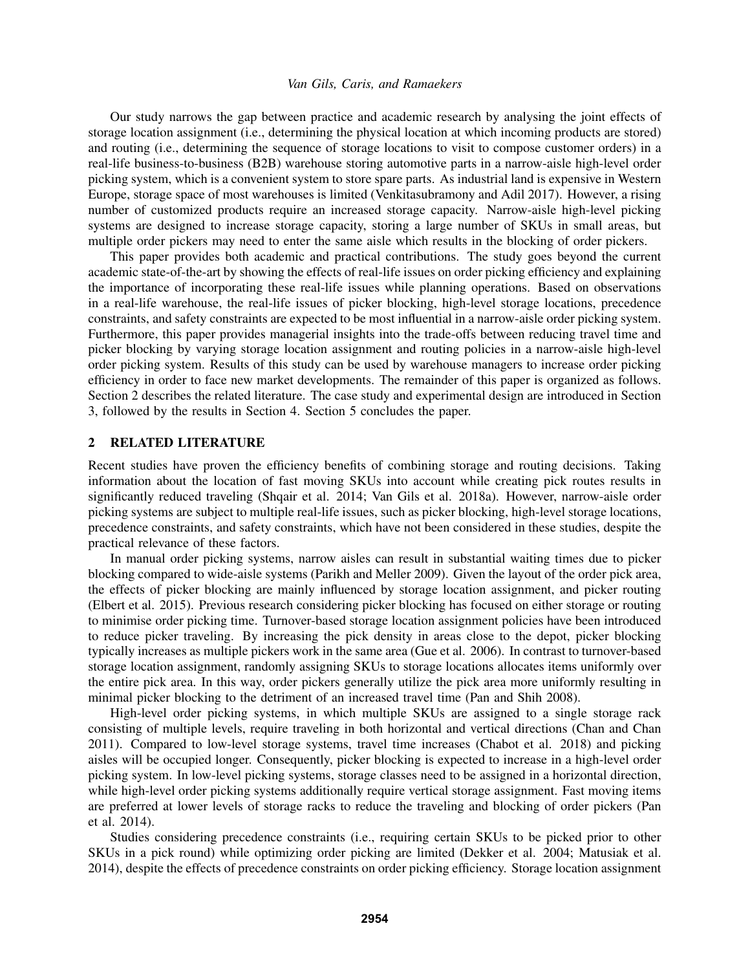Our study narrows the gap between practice and academic research by analysing the joint effects of storage location assignment (i.e., determining the physical location at which incoming products are stored) and routing (i.e., determining the sequence of storage locations to visit to compose customer orders) in a real-life business-to-business (B2B) warehouse storing automotive parts in a narrow-aisle high-level order picking system, which is a convenient system to store spare parts. As industrial land is expensive in Western Europe, storage space of most warehouses is limited (Venkitasubramony and Adil 2017). However, a rising number of customized products require an increased storage capacity. Narrow-aisle high-level picking systems are designed to increase storage capacity, storing a large number of SKUs in small areas, but multiple order pickers may need to enter the same aisle which results in the blocking of order pickers.

This paper provides both academic and practical contributions. The study goes beyond the current academic state-of-the-art by showing the effects of real-life issues on order picking efficiency and explaining the importance of incorporating these real-life issues while planning operations. Based on observations in a real-life warehouse, the real-life issues of picker blocking, high-level storage locations, precedence constraints, and safety constraints are expected to be most influential in a narrow-aisle order picking system. Furthermore, this paper provides managerial insights into the trade-offs between reducing travel time and picker blocking by varying storage location assignment and routing policies in a narrow-aisle high-level order picking system. Results of this study can be used by warehouse managers to increase order picking efficiency in order to face new market developments. The remainder of this paper is organized as follows. Section 2 describes the related literature. The case study and experimental design are introduced in Section 3, followed by the results in Section 4. Section 5 concludes the paper.

### 2 RELATED LITERATURE

Recent studies have proven the efficiency benefits of combining storage and routing decisions. Taking information about the location of fast moving SKUs into account while creating pick routes results in significantly reduced traveling (Shqair et al. 2014; Van Gils et al. 2018a). However, narrow-aisle order picking systems are subject to multiple real-life issues, such as picker blocking, high-level storage locations, precedence constraints, and safety constraints, which have not been considered in these studies, despite the practical relevance of these factors.

In manual order picking systems, narrow aisles can result in substantial waiting times due to picker blocking compared to wide-aisle systems (Parikh and Meller 2009). Given the layout of the order pick area, the effects of picker blocking are mainly influenced by storage location assignment, and picker routing (Elbert et al. 2015). Previous research considering picker blocking has focused on either storage or routing to minimise order picking time. Turnover-based storage location assignment policies have been introduced to reduce picker traveling. By increasing the pick density in areas close to the depot, picker blocking typically increases as multiple pickers work in the same area (Gue et al. 2006). In contrast to turnover-based storage location assignment, randomly assigning SKUs to storage locations allocates items uniformly over the entire pick area. In this way, order pickers generally utilize the pick area more uniformly resulting in minimal picker blocking to the detriment of an increased travel time (Pan and Shih 2008).

High-level order picking systems, in which multiple SKUs are assigned to a single storage rack consisting of multiple levels, require traveling in both horizontal and vertical directions (Chan and Chan 2011). Compared to low-level storage systems, travel time increases (Chabot et al. 2018) and picking aisles will be occupied longer. Consequently, picker blocking is expected to increase in a high-level order picking system. In low-level picking systems, storage classes need to be assigned in a horizontal direction, while high-level order picking systems additionally require vertical storage assignment. Fast moving items are preferred at lower levels of storage racks to reduce the traveling and blocking of order pickers (Pan et al. 2014).

Studies considering precedence constraints (i.e., requiring certain SKUs to be picked prior to other SKUs in a pick round) while optimizing order picking are limited (Dekker et al. 2004; Matusiak et al. 2014), despite the effects of precedence constraints on order picking efficiency. Storage location assignment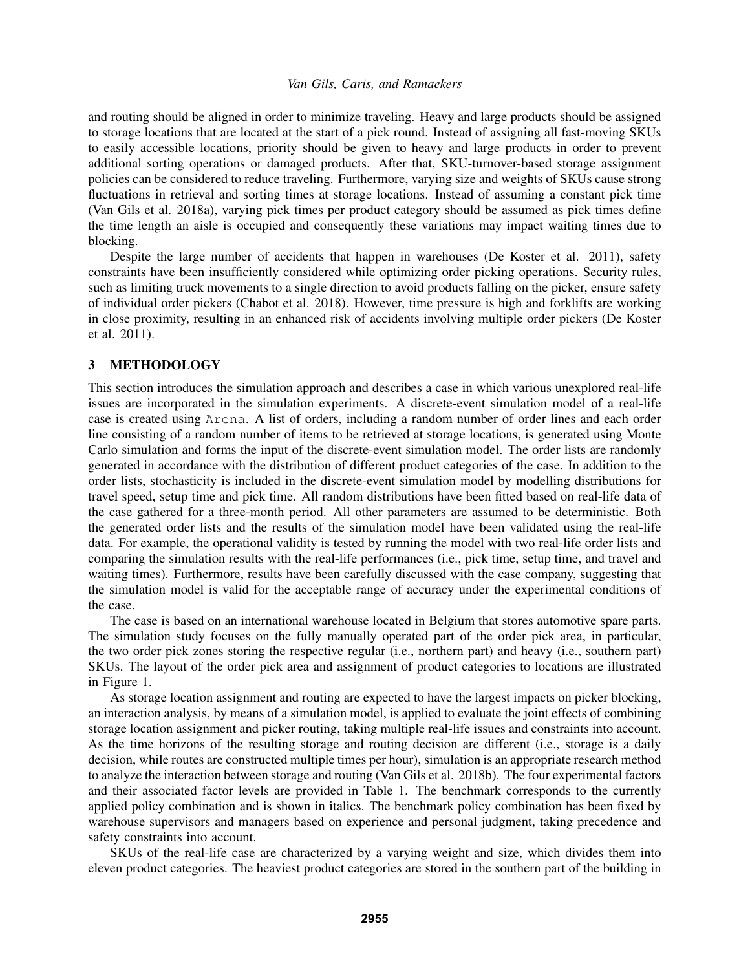and routing should be aligned in order to minimize traveling. Heavy and large products should be assigned to storage locations that are located at the start of a pick round. Instead of assigning all fast-moving SKUs to easily accessible locations, priority should be given to heavy and large products in order to prevent additional sorting operations or damaged products. After that, SKU-turnover-based storage assignment policies can be considered to reduce traveling. Furthermore, varying size and weights of SKUs cause strong fluctuations in retrieval and sorting times at storage locations. Instead of assuming a constant pick time (Van Gils et al. 2018a), varying pick times per product category should be assumed as pick times define the time length an aisle is occupied and consequently these variations may impact waiting times due to blocking.

Despite the large number of accidents that happen in warehouses (De Koster et al. 2011), safety constraints have been insufficiently considered while optimizing order picking operations. Security rules, such as limiting truck movements to a single direction to avoid products falling on the picker, ensure safety of individual order pickers (Chabot et al. 2018). However, time pressure is high and forklifts are working in close proximity, resulting in an enhanced risk of accidents involving multiple order pickers (De Koster et al. 2011).

### 3 METHODOLOGY

This section introduces the simulation approach and describes a case in which various unexplored real-life issues are incorporated in the simulation experiments. A discrete-event simulation model of a real-life case is created using Arena. A list of orders, including a random number of order lines and each order line consisting of a random number of items to be retrieved at storage locations, is generated using Monte Carlo simulation and forms the input of the discrete-event simulation model. The order lists are randomly generated in accordance with the distribution of different product categories of the case. In addition to the order lists, stochasticity is included in the discrete-event simulation model by modelling distributions for travel speed, setup time and pick time. All random distributions have been fitted based on real-life data of the case gathered for a three-month period. All other parameters are assumed to be deterministic. Both the generated order lists and the results of the simulation model have been validated using the real-life data. For example, the operational validity is tested by running the model with two real-life order lists and comparing the simulation results with the real-life performances (i.e., pick time, setup time, and travel and waiting times). Furthermore, results have been carefully discussed with the case company, suggesting that the simulation model is valid for the acceptable range of accuracy under the experimental conditions of the case.

The case is based on an international warehouse located in Belgium that stores automotive spare parts. The simulation study focuses on the fully manually operated part of the order pick area, in particular, the two order pick zones storing the respective regular (i.e., northern part) and heavy (i.e., southern part) SKUs. The layout of the order pick area and assignment of product categories to locations are illustrated in Figure 1.

As storage location assignment and routing are expected to have the largest impacts on picker blocking, an interaction analysis, by means of a simulation model, is applied to evaluate the joint effects of combining storage location assignment and picker routing, taking multiple real-life issues and constraints into account. As the time horizons of the resulting storage and routing decision are different (i.e., storage is a daily decision, while routes are constructed multiple times per hour), simulation is an appropriate research method to analyze the interaction between storage and routing (Van Gils et al. 2018b). The four experimental factors and their associated factor levels are provided in Table 1. The benchmark corresponds to the currently applied policy combination and is shown in italics. The benchmark policy combination has been fixed by warehouse supervisors and managers based on experience and personal judgment, taking precedence and safety constraints into account.

SKUs of the real-life case are characterized by a varying weight and size, which divides them into eleven product categories. The heaviest product categories are stored in the southern part of the building in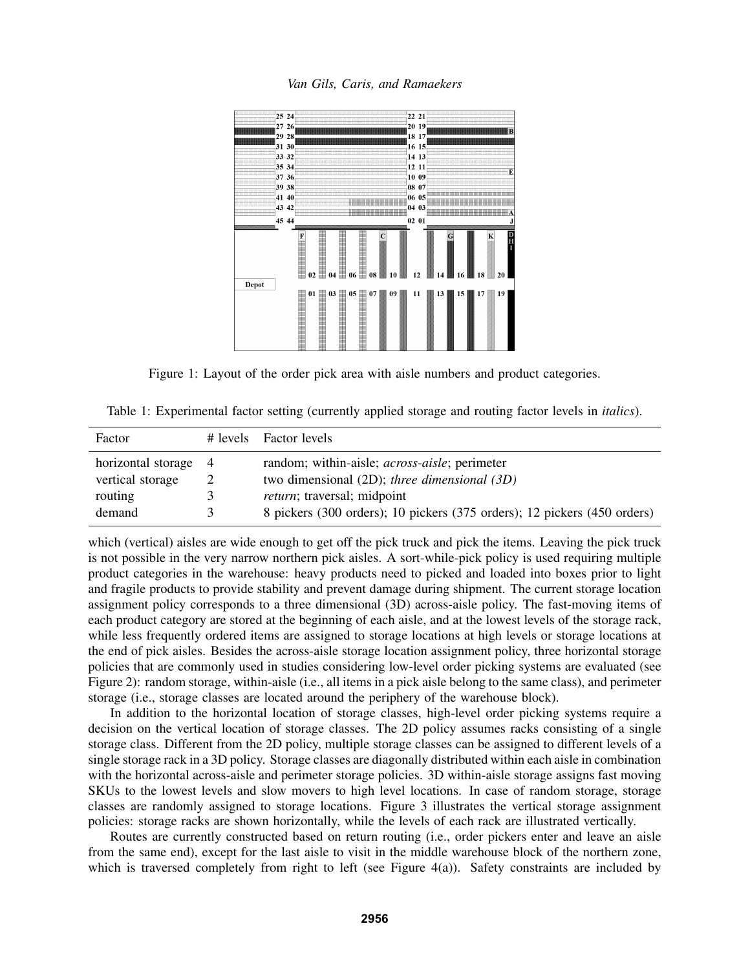*Van Gils, Caris, and Ramaekers*



Figure 1: Layout of the order pick area with aisle numbers and product categories.

Table 1: Experimental factor setting (currently applied storage and routing factor levels in *italics*).

| Factor               |               | # levels Factor levels                                                   |
|----------------------|---------------|--------------------------------------------------------------------------|
| horizontal storage 4 |               | random; within-aisle; <i>across-aisle</i> ; perimeter                    |
| vertical storage     |               | two dimensional $(2D)$ ; three dimensional $(3D)$                        |
| routing              |               | <i>return</i> ; traversal; midpoint                                      |
| demand               | $\mathcal{F}$ | 8 pickers (300 orders); 10 pickers (375 orders); 12 pickers (450 orders) |

which (vertical) aisles are wide enough to get off the pick truck and pick the items. Leaving the pick truck is not possible in the very narrow northern pick aisles. A sort-while-pick policy is used requiring multiple product categories in the warehouse: heavy products need to picked and loaded into boxes prior to light and fragile products to provide stability and prevent damage during shipment. The current storage location assignment policy corresponds to a three dimensional (3D) across-aisle policy. The fast-moving items of each product category are stored at the beginning of each aisle, and at the lowest levels of the storage rack, while less frequently ordered items are assigned to storage locations at high levels or storage locations at the end of pick aisles. Besides the across-aisle storage location assignment policy, three horizontal storage policies that are commonly used in studies considering low-level order picking systems are evaluated (see Figure 2): random storage, within-aisle (i.e., all items in a pick aisle belong to the same class), and perimeter storage (i.e., storage classes are located around the periphery of the warehouse block).

In addition to the horizontal location of storage classes, high-level order picking systems require a decision on the vertical location of storage classes. The 2D policy assumes racks consisting of a single storage class. Different from the 2D policy, multiple storage classes can be assigned to different levels of a single storage rack in a 3D policy. Storage classes are diagonally distributed within each aisle in combination with the horizontal across-aisle and perimeter storage policies. 3D within-aisle storage assigns fast moving SKUs to the lowest levels and slow movers to high level locations. In case of random storage, storage classes are randomly assigned to storage locations. Figure 3 illustrates the vertical storage assignment policies: storage racks are shown horizontally, while the levels of each rack are illustrated vertically.

Routes are currently constructed based on return routing (i.e., order pickers enter and leave an aisle from the same end), except for the last aisle to visit in the middle warehouse block of the northern zone, which is traversed completely from right to left (see Figure 4(a)). Safety constraints are included by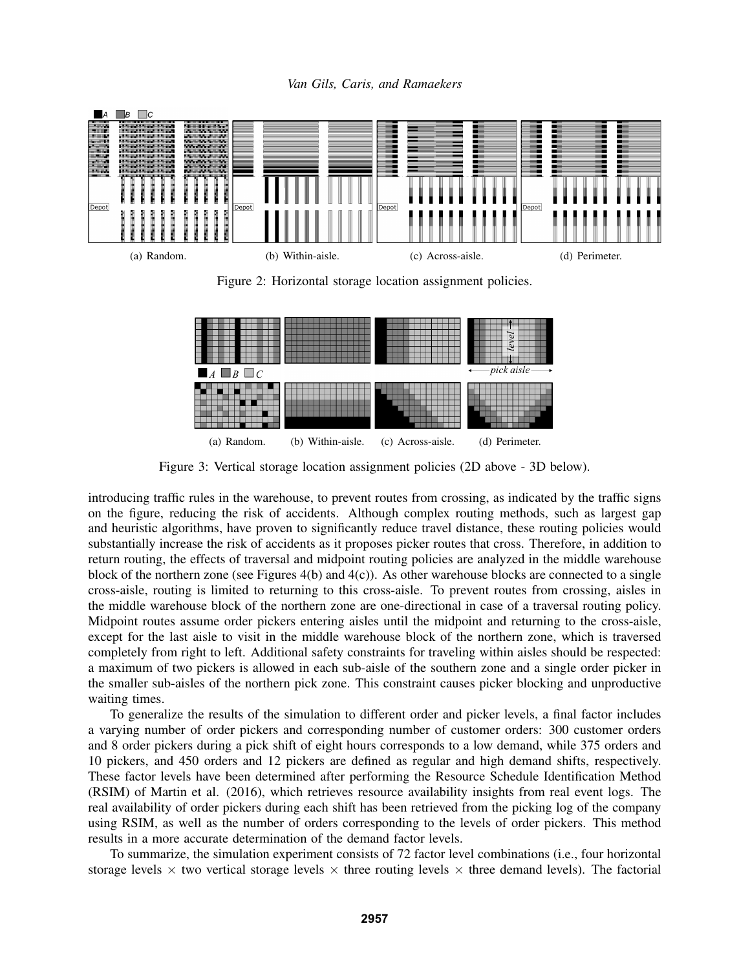*Van Gils, Caris, and Ramaekers*



Figure 2: Horizontal storage location assignment policies.



Figure 3: Vertical storage location assignment policies (2D above - 3D below).

introducing traffic rules in the warehouse, to prevent routes from crossing, as indicated by the traffic signs on the figure, reducing the risk of accidents. Although complex routing methods, such as largest gap and heuristic algorithms, have proven to significantly reduce travel distance, these routing policies would substantially increase the risk of accidents as it proposes picker routes that cross. Therefore, in addition to return routing, the effects of traversal and midpoint routing policies are analyzed in the middle warehouse block of the northern zone (see Figures  $4(b)$  and  $4(c)$ ). As other warehouse blocks are connected to a single cross-aisle, routing is limited to returning to this cross-aisle. To prevent routes from crossing, aisles in the middle warehouse block of the northern zone are one-directional in case of a traversal routing policy. Midpoint routes assume order pickers entering aisles until the midpoint and returning to the cross-aisle, except for the last aisle to visit in the middle warehouse block of the northern zone, which is traversed completely from right to left. Additional safety constraints for traveling within aisles should be respected: a maximum of two pickers is allowed in each sub-aisle of the southern zone and a single order picker in the smaller sub-aisles of the northern pick zone. This constraint causes picker blocking and unproductive waiting times.

To generalize the results of the simulation to different order and picker levels, a final factor includes a varying number of order pickers and corresponding number of customer orders: 300 customer orders and 8 order pickers during a pick shift of eight hours corresponds to a low demand, while 375 orders and 10 pickers, and 450 orders and 12 pickers are defined as regular and high demand shifts, respectively. These factor levels have been determined after performing the Resource Schedule Identification Method (RSIM) of Martin et al. (2016), which retrieves resource availability insights from real event logs. The real availability of order pickers during each shift has been retrieved from the picking log of the company using RSIM, as well as the number of orders corresponding to the levels of order pickers. This method results in a more accurate determination of the demand factor levels.

To summarize, the simulation experiment consists of 72 factor level combinations (i.e., four horizontal storage levels  $\times$  two vertical storage levels  $\times$  three routing levels  $\times$  three demand levels). The factorial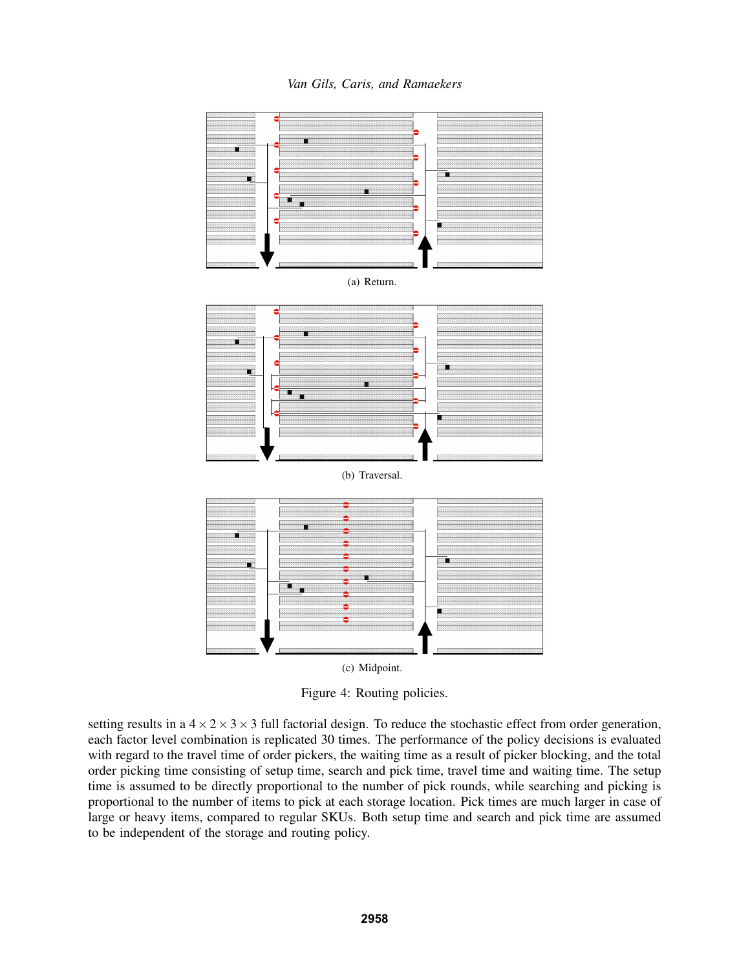*Van Gils, Caris, and Ramaekers*



Figure 4: Routing policies.

setting results in a  $4 \times 2 \times 3 \times 3$  full factorial design. To reduce the stochastic effect from order generation, each factor level combination is replicated 30 times. The performance of the policy decisions is evaluated with regard to the travel time of order pickers, the waiting time as a result of picker blocking, and the total order picking time consisting of setup time, search and pick time, travel time and waiting time. The setup time is assumed to be directly proportional to the number of pick rounds, while searching and picking is proportional to the number of items to pick at each storage location. Pick times are much larger in case of large or heavy items, compared to regular SKUs. Both setup time and search and pick time are assumed to be independent of the storage and routing policy.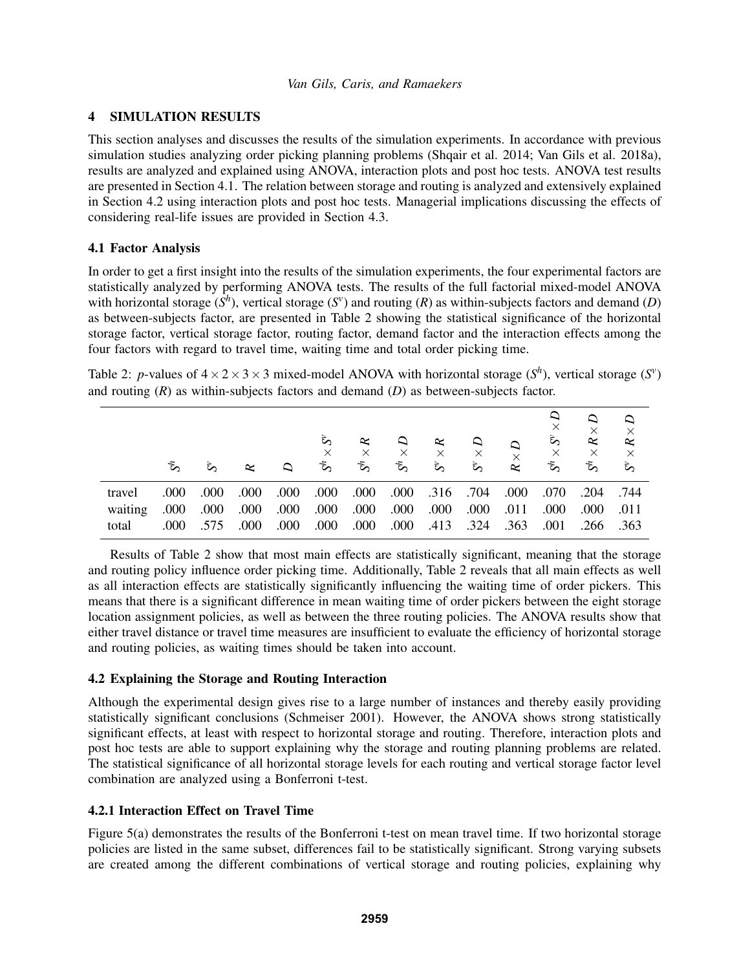# 4 SIMULATION RESULTS

This section analyses and discusses the results of the simulation experiments. In accordance with previous simulation studies analyzing order picking planning problems (Shqair et al. 2014; Van Gils et al. 2018a), results are analyzed and explained using ANOVA, interaction plots and post hoc tests. ANOVA test results are presented in Section 4.1. The relation between storage and routing is analyzed and extensively explained in Section 4.2 using interaction plots and post hoc tests. Managerial implications discussing the effects of considering real-life issues are provided in Section 4.3.

# 4.1 Factor Analysis

In order to get a first insight into the results of the simulation experiments, the four experimental factors are statistically analyzed by performing ANOVA tests. The results of the full factorial mixed-model ANOVA with horizontal storage  $(S<sup>h</sup>)$ , vertical storage  $(S<sup>v</sup>)$  and routing  $(R)$  as within-subjects factors and demand  $(D)$ as between-subjects factor, are presented in Table 2 showing the statistical significance of the horizontal storage factor, vertical storage factor, routing factor, demand factor and the interaction effects among the four factors with regard to travel time, waiting time and total order picking time.

Table 2: *p*-values of  $4 \times 2 \times 3 \times 3$  mixed-model ANOVA with horizontal storage  $(S<sup>h</sup>)$ , vertical storage  $(S<sup>v</sup>)$ and routing (*R*) as within-subjects factors and demand (*D*) as between-subjects factor.

|         | $5^{\circ}$ | ಕಿ   | ĸ    | ≏    | ર્જે<br>$\times$<br>$S^h$ | $\approx$<br>$\times$<br>$S^h$ | $\Delta$<br>$\times$<br>$S^h$ | $\approx$<br>$\times$<br>$\zeta$ | $\Delta$<br>$\times$<br>દે $\sim$ | $\Delta$<br>$\overline{\mathsf{x}}$<br>$\approx$ | Q<br>×<br>$S^h \times S^v$ | $\times$<br>$\times$ $R$<br>$S^h$ | $\frac{a}{x}$<br>$\times R$<br>$\mathcal{S}$ |
|---------|-------------|------|------|------|---------------------------|--------------------------------|-------------------------------|----------------------------------|-----------------------------------|--------------------------------------------------|----------------------------|-----------------------------------|----------------------------------------------|
| travel  | .000        | .000 | .000 | .000 | .000                      | .000                           | .000                          | .316 .704                        |                                   | .000                                             | .070                       | .204                              | .744                                         |
| waiting | .000        | .000 | .000 | .000 | .000                      | .000                           | .000                          | .000                             | .000                              | .011                                             | .000                       | .000                              | .011                                         |
| total   | .000        | .575 | .000 | .000 | .000                      | .000                           | .000                          | .413                             | .324                              | .363                                             | .001                       | .266                              | .363                                         |

Results of Table 2 show that most main effects are statistically significant, meaning that the storage and routing policy influence order picking time. Additionally, Table 2 reveals that all main effects as well as all interaction effects are statistically significantly influencing the waiting time of order pickers. This means that there is a significant difference in mean waiting time of order pickers between the eight storage location assignment policies, as well as between the three routing policies. The ANOVA results show that either travel distance or travel time measures are insufficient to evaluate the efficiency of horizontal storage and routing policies, as waiting times should be taken into account.

# 4.2 Explaining the Storage and Routing Interaction

Although the experimental design gives rise to a large number of instances and thereby easily providing statistically significant conclusions (Schmeiser 2001). However, the ANOVA shows strong statistically significant effects, at least with respect to horizontal storage and routing. Therefore, interaction plots and post hoc tests are able to support explaining why the storage and routing planning problems are related. The statistical significance of all horizontal storage levels for each routing and vertical storage factor level combination are analyzed using a Bonferroni t-test.

# 4.2.1 Interaction Effect on Travel Time

Figure 5(a) demonstrates the results of the Bonferroni t-test on mean travel time. If two horizontal storage policies are listed in the same subset, differences fail to be statistically significant. Strong varying subsets are created among the different combinations of vertical storage and routing policies, explaining why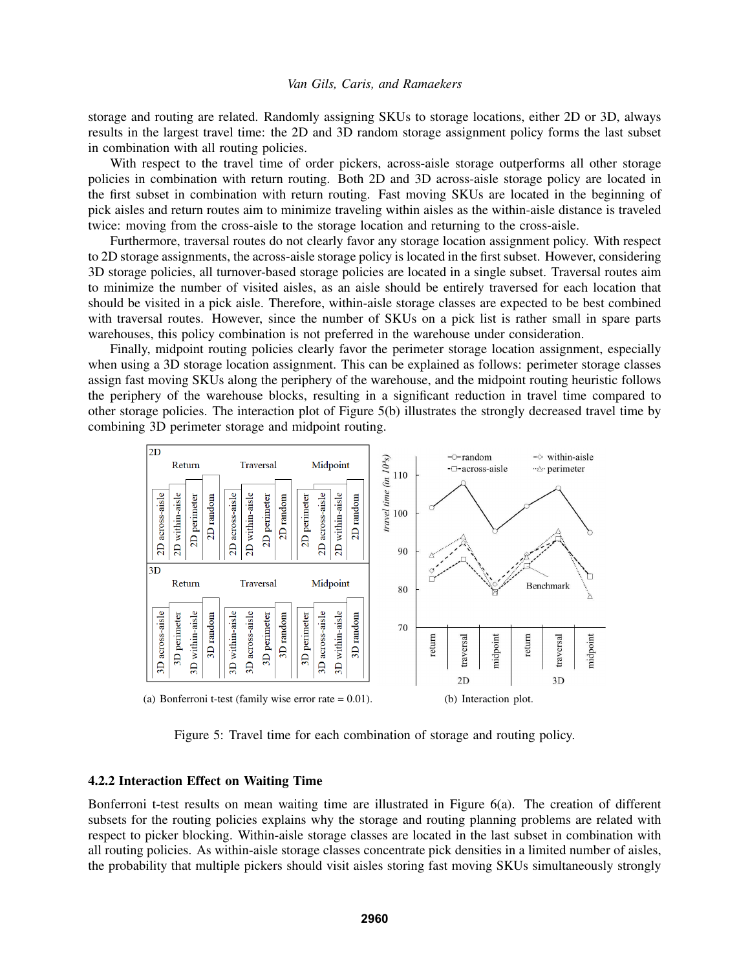storage and routing are related. Randomly assigning SKUs to storage locations, either 2D or 3D, always results in the largest travel time: the 2D and 3D random storage assignment policy forms the last subset in combination with all routing policies.

With respect to the travel time of order pickers, across-aisle storage outperforms all other storage policies in combination with return routing. Both 2D and 3D across-aisle storage policy are located in the first subset in combination with return routing. Fast moving SKUs are located in the beginning of pick aisles and return routes aim to minimize traveling within aisles as the within-aisle distance is traveled twice: moving from the cross-aisle to the storage location and returning to the cross-aisle.

Furthermore, traversal routes do not clearly favor any storage location assignment policy. With respect to 2D storage assignments, the across-aisle storage policy is located in the first subset. However, considering 3D storage policies, all turnover-based storage policies are located in a single subset. Traversal routes aim to minimize the number of visited aisles, as an aisle should be entirely traversed for each location that should be visited in a pick aisle. Therefore, within-aisle storage classes are expected to be best combined with traversal routes. However, since the number of SKUs on a pick list is rather small in spare parts warehouses, this policy combination is not preferred in the warehouse under consideration.

Finally, midpoint routing policies clearly favor the perimeter storage location assignment, especially when using a 3D storage location assignment. This can be explained as follows: perimeter storage classes assign fast moving SKUs along the periphery of the warehouse, and the midpoint routing heuristic follows the periphery of the warehouse blocks, resulting in a significant reduction in travel time compared to other storage policies. The interaction plot of Figure 5(b) illustrates the strongly decreased travel time by combining 3D perimeter storage and midpoint routing.



Figure 5: Travel time for each combination of storage and routing policy.

### 4.2.2 Interaction Effect on Waiting Time

Bonferroni t-test results on mean waiting time are illustrated in Figure 6(a). The creation of different subsets for the routing policies explains why the storage and routing planning problems are related with respect to picker blocking. Within-aisle storage classes are located in the last subset in combination with all routing policies. As within-aisle storage classes concentrate pick densities in a limited number of aisles, the probability that multiple pickers should visit aisles storing fast moving SKUs simultaneously strongly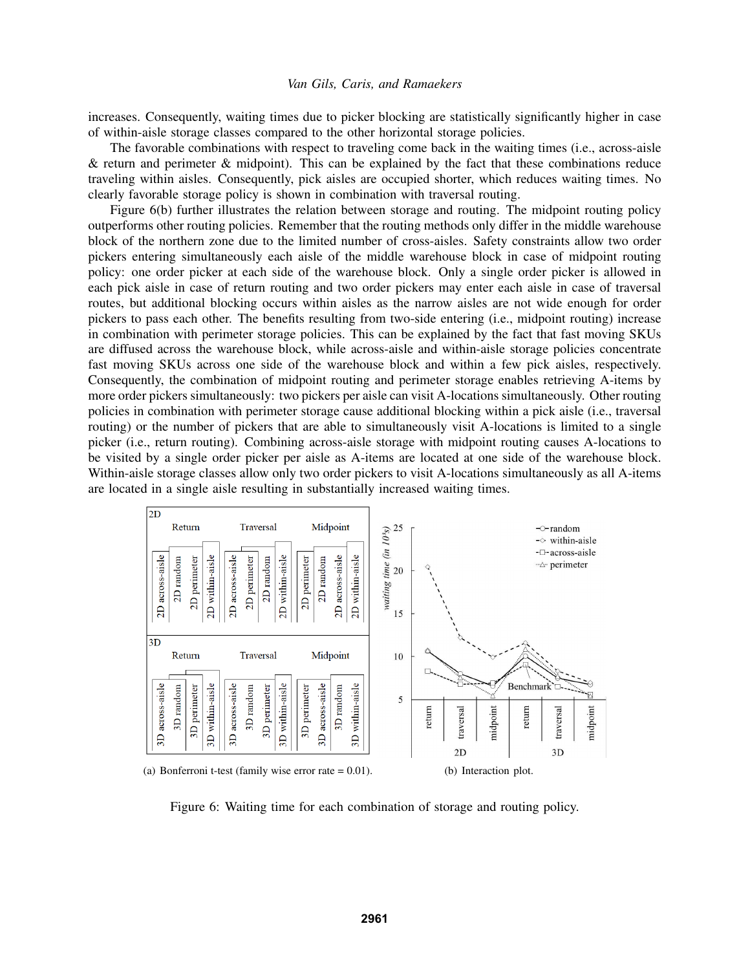increases. Consequently, waiting times due to picker blocking are statistically significantly higher in case of within-aisle storage classes compared to the other horizontal storage policies.

The favorable combinations with respect to traveling come back in the waiting times (i.e., across-aisle  $\&$  return and perimeter  $\&$  midpoint). This can be explained by the fact that these combinations reduce traveling within aisles. Consequently, pick aisles are occupied shorter, which reduces waiting times. No clearly favorable storage policy is shown in combination with traversal routing.

Figure 6(b) further illustrates the relation between storage and routing. The midpoint routing policy outperforms other routing policies. Remember that the routing methods only differ in the middle warehouse block of the northern zone due to the limited number of cross-aisles. Safety constraints allow two order pickers entering simultaneously each aisle of the middle warehouse block in case of midpoint routing policy: one order picker at each side of the warehouse block. Only a single order picker is allowed in each pick aisle in case of return routing and two order pickers may enter each aisle in case of traversal routes, but additional blocking occurs within aisles as the narrow aisles are not wide enough for order pickers to pass each other. The benefits resulting from two-side entering (i.e., midpoint routing) increase in combination with perimeter storage policies. This can be explained by the fact that fast moving SKUs are diffused across the warehouse block, while across-aisle and within-aisle storage policies concentrate fast moving SKUs across one side of the warehouse block and within a few pick aisles, respectively. Consequently, the combination of midpoint routing and perimeter storage enables retrieving A-items by more order pickers simultaneously: two pickers per aisle can visit A-locations simultaneously. Other routing policies in combination with perimeter storage cause additional blocking within a pick aisle (i.e., traversal routing) or the number of pickers that are able to simultaneously visit A-locations is limited to a single picker (i.e., return routing). Combining across-aisle storage with midpoint routing causes A-locations to be visited by a single order picker per aisle as A-items are located at one side of the warehouse block. Within-aisle storage classes allow only two order pickers to visit A-locations simultaneously as all A-items are located in a single aisle resulting in substantially increased waiting times.



Figure 6: Waiting time for each combination of storage and routing policy.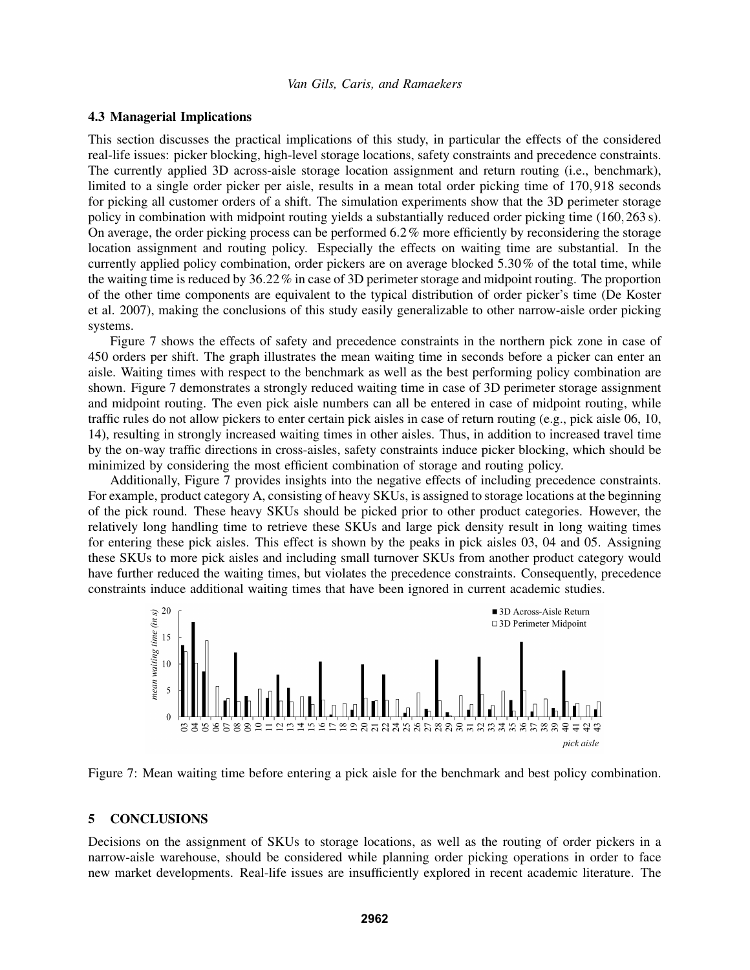#### 4.3 Managerial Implications

This section discusses the practical implications of this study, in particular the effects of the considered real-life issues: picker blocking, high-level storage locations, safety constraints and precedence constraints. The currently applied 3D across-aisle storage location assignment and return routing (i.e., benchmark), limited to a single order picker per aisle, results in a mean total order picking time of 170,918 seconds for picking all customer orders of a shift. The simulation experiments show that the 3D perimeter storage policy in combination with midpoint routing yields a substantially reduced order picking time (160,263 s). On average, the order picking process can be performed  $6.2\%$  more efficiently by reconsidering the storage location assignment and routing policy. Especially the effects on waiting time are substantial. In the currently applied policy combination, order pickers are on average blocked 5.30% of the total time, while the waiting time is reduced by 36.22% in case of 3D perimeter storage and midpoint routing. The proportion of the other time components are equivalent to the typical distribution of order picker's time (De Koster et al. 2007), making the conclusions of this study easily generalizable to other narrow-aisle order picking systems.

Figure 7 shows the effects of safety and precedence constraints in the northern pick zone in case of 450 orders per shift. The graph illustrates the mean waiting time in seconds before a picker can enter an aisle. Waiting times with respect to the benchmark as well as the best performing policy combination are shown. Figure 7 demonstrates a strongly reduced waiting time in case of 3D perimeter storage assignment and midpoint routing. The even pick aisle numbers can all be entered in case of midpoint routing, while traffic rules do not allow pickers to enter certain pick aisles in case of return routing (e.g., pick aisle 06, 10, 14), resulting in strongly increased waiting times in other aisles. Thus, in addition to increased travel time by the on-way traffic directions in cross-aisles, safety constraints induce picker blocking, which should be minimized by considering the most efficient combination of storage and routing policy.

Additionally, Figure 7 provides insights into the negative effects of including precedence constraints. For example, product category A, consisting of heavy SKUs, is assigned to storage locations at the beginning of the pick round. These heavy SKUs should be picked prior to other product categories. However, the relatively long handling time to retrieve these SKUs and large pick density result in long waiting times for entering these pick aisles. This effect is shown by the peaks in pick aisles 03, 04 and 05. Assigning these SKUs to more pick aisles and including small turnover SKUs from another product category would have further reduced the waiting times, but violates the precedence constraints. Consequently, precedence



Figure 7: Mean waiting time before entering a pick aisle for the benchmark and best policy combination.

#### 5 CONCLUSIONS

Decisions on the assignment of SKUs to storage locations, as well as the routing of order pickers in a narrow-aisle warehouse, should be considered while planning order picking operations in order to face new market developments. Real-life issues are insufficiently explored in recent academic literature. The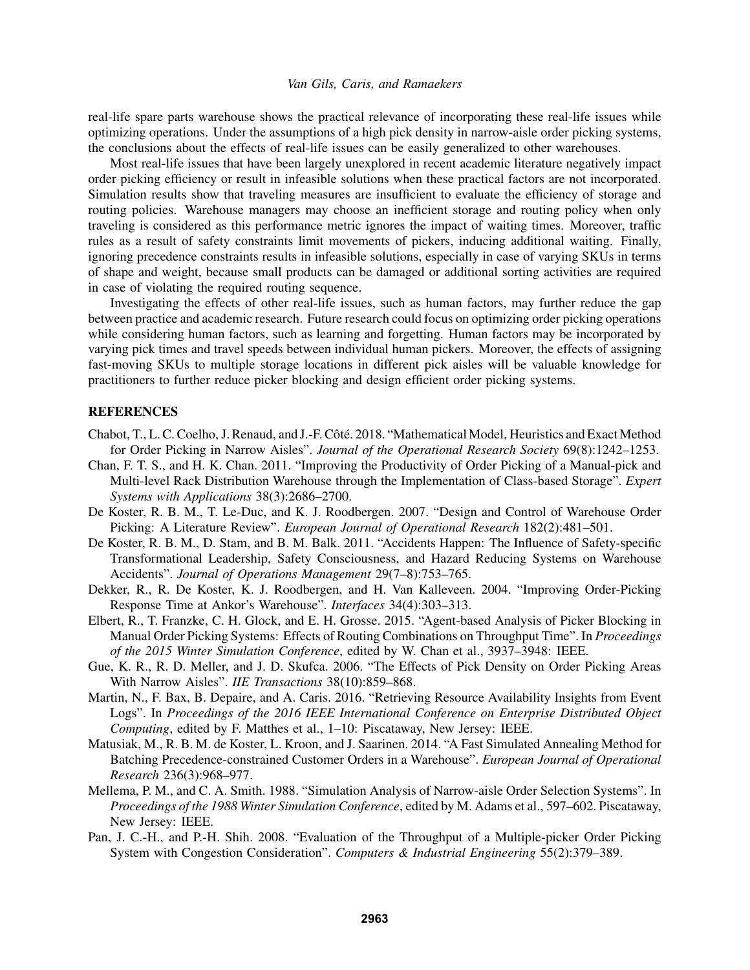real-life spare parts warehouse shows the practical relevance of incorporating these real-life issues while optimizing operations. Under the assumptions of a high pick density in narrow-aisle order picking systems, the conclusions about the effects of real-life issues can be easily generalized to other warehouses.

Most real-life issues that have been largely unexplored in recent academic literature negatively impact order picking efficiency or result in infeasible solutions when these practical factors are not incorporated. Simulation results show that traveling measures are insufficient to evaluate the efficiency of storage and routing policies. Warehouse managers may choose an inefficient storage and routing policy when only traveling is considered as this performance metric ignores the impact of waiting times. Moreover, traffic rules as a result of safety constraints limit movements of pickers, inducing additional waiting. Finally, ignoring precedence constraints results in infeasible solutions, especially in case of varying SKUs in terms of shape and weight, because small products can be damaged or additional sorting activities are required in case of violating the required routing sequence.

Investigating the effects of other real-life issues, such as human factors, may further reduce the gap between practice and academic research. Future research could focus on optimizing order picking operations while considering human factors, such as learning and forgetting. Human factors may be incorporated by varying pick times and travel speeds between individual human pickers. Moreover, the effects of assigning fast-moving SKUs to multiple storage locations in different pick aisles will be valuable knowledge for practitioners to further reduce picker blocking and design efficient order picking systems.

# **REFERENCES**

- Chabot, T., L. C. Coelho, J. Renaud, and J.-F. Côté. 2018. "Mathematical Model, Heuristics and Exact Method for Order Picking in Narrow Aisles". *Journal of the Operational Research Society* 69(8):1242–1253.
- Chan, F. T. S., and H. K. Chan. 2011. "Improving the Productivity of Order Picking of a Manual-pick and Multi-level Rack Distribution Warehouse through the Implementation of Class-based Storage". *Expert Systems with Applications* 38(3):2686–2700.
- De Koster, R. B. M., T. Le-Duc, and K. J. Roodbergen. 2007. "Design and Control of Warehouse Order Picking: A Literature Review". *European Journal of Operational Research* 182(2):481–501.
- De Koster, R. B. M., D. Stam, and B. M. Balk. 2011. "Accidents Happen: The Influence of Safety-specific Transformational Leadership, Safety Consciousness, and Hazard Reducing Systems on Warehouse Accidents". *Journal of Operations Management* 29(7–8):753–765.
- Dekker, R., R. De Koster, K. J. Roodbergen, and H. Van Kalleveen. 2004. "Improving Order-Picking Response Time at Ankor's Warehouse". *Interfaces* 34(4):303–313.
- Elbert, R., T. Franzke, C. H. Glock, and E. H. Grosse. 2015. "Agent-based Analysis of Picker Blocking in Manual Order Picking Systems: Effects of Routing Combinations on Throughput Time". In *Proceedings of the 2015 Winter Simulation Conference*, edited by W. Chan et al., 3937–3948: IEEE.
- Gue, K. R., R. D. Meller, and J. D. Skufca. 2006. "The Effects of Pick Density on Order Picking Areas With Narrow Aisles". *IIE Transactions* 38(10):859–868.
- Martin, N., F. Bax, B. Depaire, and A. Caris. 2016. "Retrieving Resource Availability Insights from Event Logs". In *Proceedings of the 2016 IEEE International Conference on Enterprise Distributed Object Computing*, edited by F. Matthes et al., 1–10: Piscataway, New Jersey: IEEE.
- Matusiak, M., R. B. M. de Koster, L. Kroon, and J. Saarinen. 2014. "A Fast Simulated Annealing Method for Batching Precedence-constrained Customer Orders in a Warehouse". *European Journal of Operational Research* 236(3):968–977.
- Mellema, P. M., and C. A. Smith. 1988. "Simulation Analysis of Narrow-aisle Order Selection Systems". In *Proceedings of the 1988 Winter Simulation Conference*, edited by M. Adams et al., 597–602. Piscataway, New Jersey: IEEE.
- Pan, J. C.-H., and P.-H. Shih. 2008. "Evaluation of the Throughput of a Multiple-picker Order Picking System with Congestion Consideration". *Computers & Industrial Engineering* 55(2):379–389.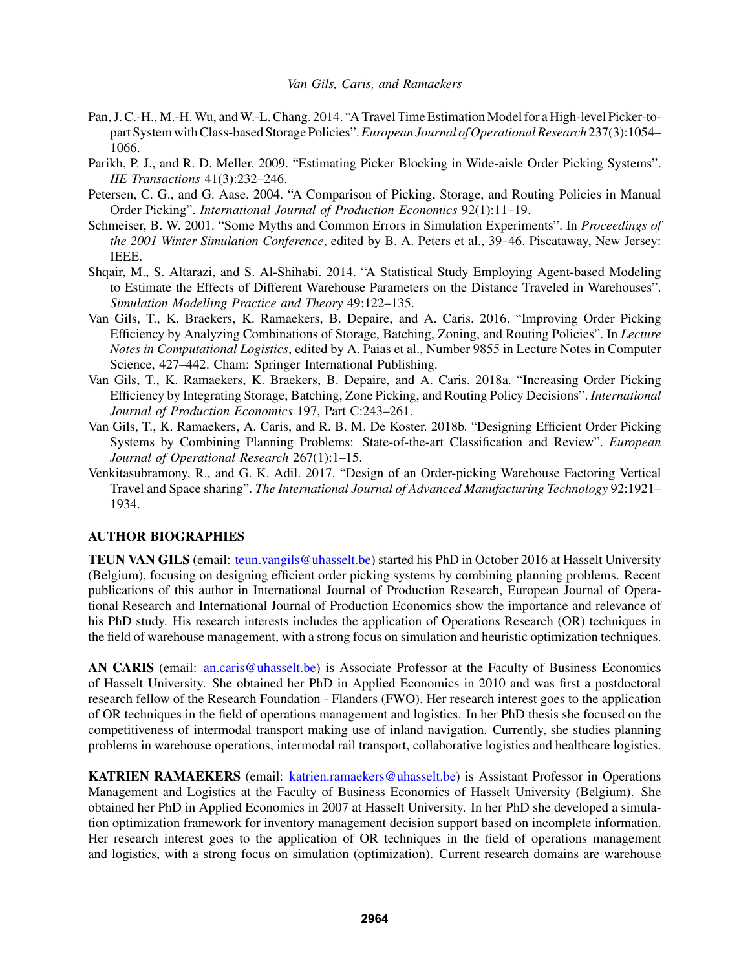- Pan, J. C.-H., M.-H.Wu, andW.-L. Chang. 2014. "A Travel Time Estimation Model for a High-level Picker-topart System with Class-based Storage Policies".*European Journal of Operational Research* 237(3):1054– 1066.
- Parikh, P. J., and R. D. Meller. 2009. "Estimating Picker Blocking in Wide-aisle Order Picking Systems". *IIE Transactions* 41(3):232–246.
- Petersen, C. G., and G. Aase. 2004. "A Comparison of Picking, Storage, and Routing Policies in Manual Order Picking". *International Journal of Production Economics* 92(1):11–19.
- Schmeiser, B. W. 2001. "Some Myths and Common Errors in Simulation Experiments". In *Proceedings of the 2001 Winter Simulation Conference*, edited by B. A. Peters et al., 39–46. Piscataway, New Jersey: IEEE.
- Shqair, M., S. Altarazi, and S. Al-Shihabi. 2014. "A Statistical Study Employing Agent-based Modeling to Estimate the Effects of Different Warehouse Parameters on the Distance Traveled in Warehouses". *Simulation Modelling Practice and Theory* 49:122–135.
- Van Gils, T., K. Braekers, K. Ramaekers, B. Depaire, and A. Caris. 2016. "Improving Order Picking Efficiency by Analyzing Combinations of Storage, Batching, Zoning, and Routing Policies". In *Lecture Notes in Computational Logistics*, edited by A. Paias et al., Number 9855 in Lecture Notes in Computer Science, 427–442. Cham: Springer International Publishing.
- Van Gils, T., K. Ramaekers, K. Braekers, B. Depaire, and A. Caris. 2018a. "Increasing Order Picking Efficiency by Integrating Storage, Batching, Zone Picking, and Routing Policy Decisions". *International Journal of Production Economics* 197, Part C:243–261.
- Van Gils, T., K. Ramaekers, A. Caris, and R. B. M. De Koster. 2018b. "Designing Efficient Order Picking Systems by Combining Planning Problems: State-of-the-art Classification and Review". *European Journal of Operational Research* 267(1):1–15.
- Venkitasubramony, R., and G. K. Adil. 2017. "Design of an Order-picking Warehouse Factoring Vertical Travel and Space sharing". *The International Journal of Advanced Manufacturing Technology* 92:1921– 1934.

### AUTHOR BIOGRAPHIES

TEUN VAN GILS (email: teun.vangils@uhasselt.be) started his PhD in October 2016 at Hasselt University (Belgium), focusing on designing efficient order picking systems by combining planning problems. Recent publications of this author in International Journal of Production Research, European Journal of Operational Research and International Journal of Production Economics show the importance and relevance of his PhD study. His research interests includes the application of Operations Research (OR) techniques in the field of warehouse management, with a strong focus on simulation and heuristic optimization techniques.

AN CARIS (email: an.caris@uhasselt.be) is Associate Professor at the Faculty of Business Economics of Hasselt University. She obtained her PhD in Applied Economics in 2010 and was first a postdoctoral research fellow of the Research Foundation - Flanders (FWO). Her research interest goes to the application of OR techniques in the field of operations management and logistics. In her PhD thesis she focused on the competitiveness of intermodal transport making use of inland navigation. Currently, she studies planning problems in warehouse operations, intermodal rail transport, collaborative logistics and healthcare logistics.

KATRIEN RAMAEKERS (email: katrien.ramaekers@uhasselt.be) is Assistant Professor in Operations Management and Logistics at the Faculty of Business Economics of Hasselt University (Belgium). She obtained her PhD in Applied Economics in 2007 at Hasselt University. In her PhD she developed a simulation optimization framework for inventory management decision support based on incomplete information. Her research interest goes to the application of OR techniques in the field of operations management and logistics, with a strong focus on simulation (optimization). Current research domains are warehouse